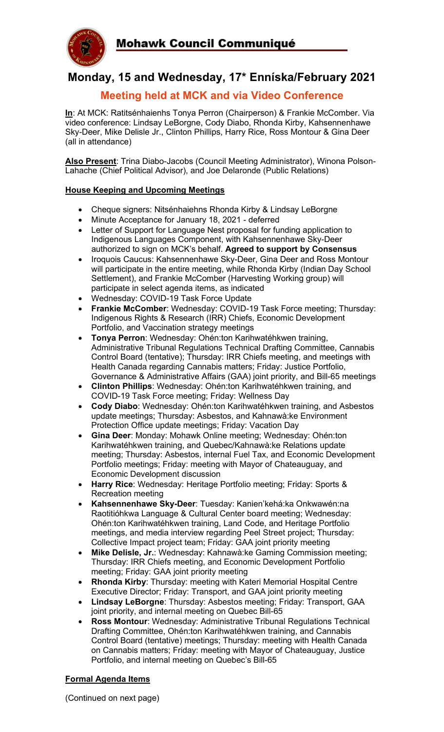

# **Monday, 15 and Wednesday, 17\* Enníska/February 2021**

## **Meeting held at MCK and via Video Conference**

**In**: At MCK: Ratitsénhaienhs Tonya Perron (Chairperson) & Frankie McComber. Via video conference: Lindsay LeBorgne, Cody Diabo, Rhonda Kirby, Kahsennenhawe Sky-Deer, Mike Delisle Jr., Clinton Phillips, Harry Rice, Ross Montour & Gina Deer (all in attendance)

**Also Present**: Trina Diabo-Jacobs (Council Meeting Administrator), Winona Polson-Lahache (Chief Political Advisor), and Joe Delaronde (Public Relations)

## **House Keeping and Upcoming Meetings**

- Cheque signers: Nitsénhaiehns Rhonda Kirby & Lindsay LeBorgne
- Minute Acceptance for January 18, 2021 deferred
- Letter of Support for Language Nest proposal for funding application to Indigenous Languages Component, with Kahsennenhawe Sky-Deer authorized to sign on MCK's behalf. **Agreed to support by Consensus**
- Iroquois Caucus: Kahsennenhawe Sky-Deer, Gina Deer and Ross Montour will participate in the entire meeting, while Rhonda Kirby (Indian Day School Settlement), and Frankie McComber (Harvesting Working group) will participate in select agenda items, as indicated
- Wednesday: COVID-19 Task Force Update
- **Frankie McComber**: Wednesday: COVID-19 Task Force meeting; Thursday: Indigenous Rights & Research (IRR) Chiefs, Economic Development Portfolio, and Vaccination strategy meetings
- **Tonya Perron**: Wednesday: Ohén:ton Karihwatéhkwen training, Administrative Tribunal Regulations Technical Drafting Committee, Cannabis Control Board (tentative); Thursday: IRR Chiefs meeting, and meetings with Health Canada regarding Cannabis matters; Friday: Justice Portfolio, Governance & Administrative Affairs (GAA) joint priority, and Bill-65 meetings
- **Clinton Phillips**: Wednesday: Ohén:ton Karihwatéhkwen training, and COVID-19 Task Force meeting; Friday: Wellness Day
- **Cody Diabo**: Wednesday: Ohén:ton Karihwatéhkwen training, and Asbestos update meetings; Thursday: Asbestos, and Kahnawà:ke Environment Protection Office update meetings; Friday: Vacation Day
- **Gina Deer**: Monday: Mohawk Online meeting; Wednesday: Ohén:ton Karihwatéhkwen training, and Quebec/Kahnawà:ke Relations update meeting; Thursday: Asbestos, internal Fuel Tax, and Economic Development Portfolio meetings; Friday: meeting with Mayor of Chateauguay, and Economic Development discussion
- **Harry Rice**: Wednesday: Heritage Portfolio meeting; Friday: Sports & Recreation meeting
- **Kahsennenhawe Sky-Deer**: Tuesday: Kanien'kehá:ka Onkwawén:na Raotitióhkwa Language & Cultural Center board meeting; Wednesday: Ohén:ton Karihwatéhkwen training, Land Code, and Heritage Portfolio meetings, and media interview regarding Peel Street project; Thursday: Collective Impact project team; Friday: GAA joint priority meeting
- **Mike Delisle, Jr.**: Wednesday: Kahnawà:ke Gaming Commission meeting; Thursday: IRR Chiefs meeting, and Economic Development Portfolio meeting; Friday: GAA joint priority meeting
- **Rhonda Kirby**: Thursday: meeting with Kateri Memorial Hospital Centre Executive Director; Friday: Transport, and GAA joint priority meeting
- **Lindsay LeBorgne**: Thursday: Asbestos meeting; Friday: Transport, GAA joint priority, and internal meeting on Quebec Bill-65
- **Ross Montour**: Wednesday: Administrative Tribunal Regulations Technical Drafting Committee, Ohén:ton Karihwatéhkwen training, and Cannabis Control Board (tentative) meetings; Thursday: meeting with Health Canada on Cannabis matters; Friday: meeting with Mayor of Chateauguay, Justice Portfolio, and internal meeting on Quebec's Bill-65

## **Formal Agenda Items**

(Continued on next page)